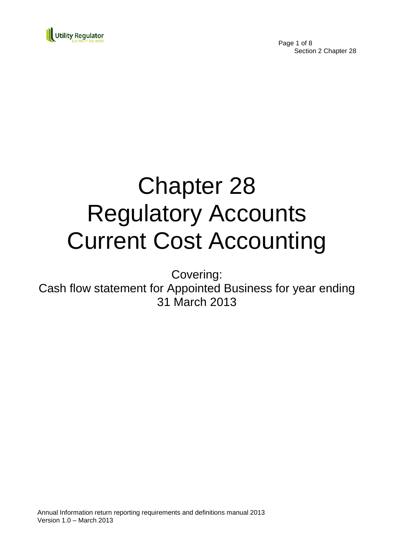

Page 1 of 8 Section 2 Chapter 28

# Chapter 28 Regulatory Accounts Current Cost Accounting

Covering:

Cash flow statement for Appointed Business for year ending 31 March 2013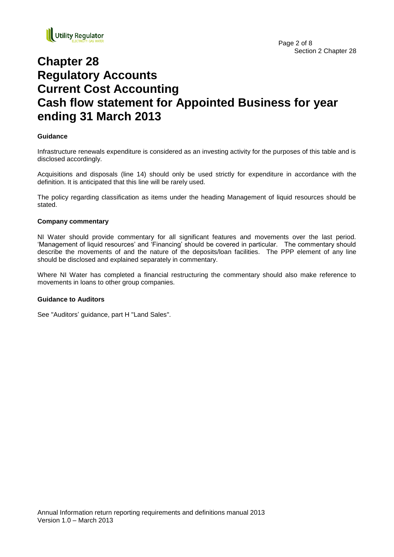

# **Chapter 28 Regulatory Accounts Current Cost Accounting Cash flow statement for Appointed Business for year ending 31 March 2013**

#### **Guidance**

Infrastructure renewals expenditure is considered as an investing activity for the purposes of this table and is disclosed accordingly.

Acquisitions and disposals (line 14) should only be used strictly for expenditure in accordance with the definition. It is anticipated that this line will be rarely used.

The policy regarding classification as items under the heading Management of liquid resources should be stated.

#### **Company commentary**

NI Water should provide commentary for all significant features and movements over the last period. 'Management of liquid resources' and 'Financing' should be covered in particular. The commentary should describe the movements of and the nature of the deposits/loan facilities. The PPP element of any line should be disclosed and explained separately in commentary.

Where NI Water has completed a financial restructuring the commentary should also make reference to movements in loans to other group companies.

#### **Guidance to Auditors**

See "Auditors' guidance, part H "Land Sales".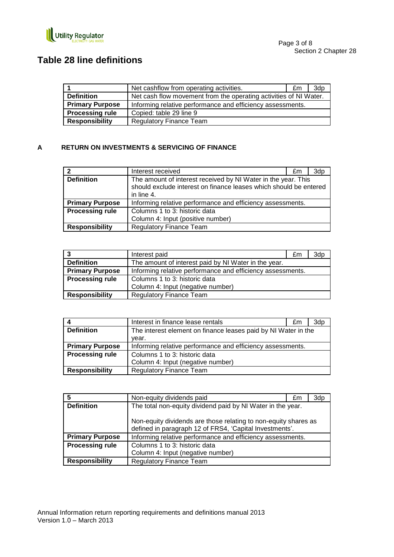

## **Table 28 line definitions**

|                        | Net cashflow from operating activities.                           | £m | 3dp |
|------------------------|-------------------------------------------------------------------|----|-----|
| <b>Definition</b>      | Net cash flow movement from the operating activities of NI Water. |    |     |
| <b>Primary Purpose</b> | Informing relative performance and efficiency assessments.        |    |     |
| <b>Processing rule</b> | Copied: table 29 line 9                                           |    |     |
| <b>Responsibility</b>  | <b>Regulatory Finance Team</b>                                    |    |     |

#### **A RETURN ON INVESTMENTS & SERVICING OF FINANCE**

|                        | Interest received                                                                                                                                | £m | 3dp |
|------------------------|--------------------------------------------------------------------------------------------------------------------------------------------------|----|-----|
| <b>Definition</b>      | The amount of interest received by NI Water in the year. This<br>should exclude interest on finance leases which should be entered<br>in line 4. |    |     |
| <b>Primary Purpose</b> | Informing relative performance and efficiency assessments.                                                                                       |    |     |
| <b>Processing rule</b> | Columns 1 to 3: historic data                                                                                                                    |    |     |
|                        | Column 4: Input (positive number)                                                                                                                |    |     |
| <b>Responsibility</b>  | <b>Regulatory Finance Team</b>                                                                                                                   |    |     |

| 3                      | Interest paid                                              | £m | 3dp |
|------------------------|------------------------------------------------------------|----|-----|
| <b>Definition</b>      | The amount of interest paid by NI Water in the year.       |    |     |
| <b>Primary Purpose</b> | Informing relative performance and efficiency assessments. |    |     |
| <b>Processing rule</b> | Columns 1 to 3: historic data                              |    |     |
|                        | Column 4: Input (negative number)                          |    |     |
| <b>Responsibility</b>  | <b>Regulatory Finance Team</b>                             |    |     |

|                        | Interest in finance lease rentals                              | £m | 3dp |
|------------------------|----------------------------------------------------------------|----|-----|
| <b>Definition</b>      | The interest element on finance leases paid by NI Water in the |    |     |
|                        | vear.                                                          |    |     |
| <b>Primary Purpose</b> | Informing relative performance and efficiency assessments.     |    |     |
| <b>Processing rule</b> | Columns 1 to 3: historic data                                  |    |     |
|                        | Column 4: Input (negative number)                              |    |     |
| <b>Responsibility</b>  | <b>Regulatory Finance Team</b>                                 |    |     |

| 5                      | Non-equity dividends paid                                       | £m | 3dp |
|------------------------|-----------------------------------------------------------------|----|-----|
| <b>Definition</b>      | The total non-equity dividend paid by NI Water in the year.     |    |     |
|                        |                                                                 |    |     |
|                        | Non-equity dividends are those relating to non-equity shares as |    |     |
|                        | defined in paragraph 12 of FRS4, 'Capital Investments'.         |    |     |
| <b>Primary Purpose</b> | Informing relative performance and efficiency assessments.      |    |     |
| <b>Processing rule</b> | Columns 1 to 3: historic data                                   |    |     |
|                        | Column 4: Input (negative number)                               |    |     |
| <b>Responsibility</b>  | <b>Regulatory Finance Team</b>                                  |    |     |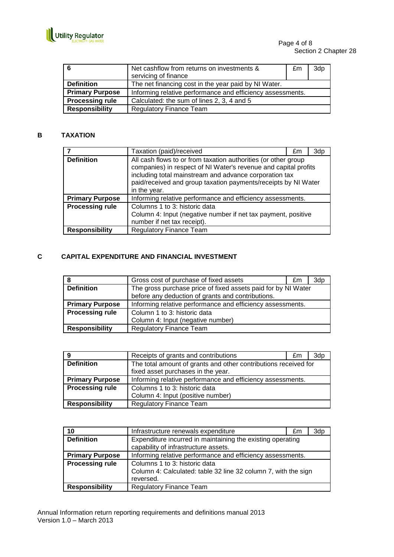

| - 6                    | Net cashflow from returns on investments &<br>servicing of finance | £m | 3dp |
|------------------------|--------------------------------------------------------------------|----|-----|
| <b>Definition</b>      | The net financing cost in the year paid by NI Water.               |    |     |
| <b>Primary Purpose</b> | Informing relative performance and efficiency assessments.         |    |     |
| <b>Processing rule</b> | Calculated: the sum of lines 2, 3, 4 and 5                         |    |     |
| <b>Responsibility</b>  | <b>Regulatory Finance Team</b>                                     |    |     |

#### **B TAXATION**

|                        | Taxation (paid)/received                                                                                                                                                                                                                                                      | £m | 3dp |
|------------------------|-------------------------------------------------------------------------------------------------------------------------------------------------------------------------------------------------------------------------------------------------------------------------------|----|-----|
| <b>Definition</b>      | All cash flows to or from taxation authorities (or other group<br>companies) in respect of NI Water's revenue and capital profits<br>including total mainstream and advance corporation tax<br>paid/received and group taxation payments/receipts by NI Water<br>in the year. |    |     |
| <b>Primary Purpose</b> | Informing relative performance and efficiency assessments.                                                                                                                                                                                                                    |    |     |
| <b>Processing rule</b> | Columns 1 to 3: historic data<br>Column 4: Input (negative number if net tax payment, positive<br>number if net tax receipt).                                                                                                                                                 |    |     |
| <b>Responsibility</b>  | <b>Regulatory Finance Team</b>                                                                                                                                                                                                                                                |    |     |

#### **C CAPITAL EXPENDITURE AND FINANCIAL INVESTMENT**

| -8                     | Gross cost of purchase of fixed assets                        | £m | 3dp |
|------------------------|---------------------------------------------------------------|----|-----|
| <b>Definition</b>      | The gross purchase price of fixed assets paid for by NI Water |    |     |
|                        | before any deduction of grants and contributions.             |    |     |
| <b>Primary Purpose</b> | Informing relative performance and efficiency assessments.    |    |     |
| <b>Processing rule</b> | Column 1 to 3: historic data                                  |    |     |
|                        | Column 4: Input (negative number)                             |    |     |
| <b>Responsibility</b>  | <b>Regulatory Finance Team</b>                                |    |     |

| 9                      | Receipts of grants and contributions                                                                  | £m | 3d <sub>p</sub> |
|------------------------|-------------------------------------------------------------------------------------------------------|----|-----------------|
| <b>Definition</b>      | The total amount of grants and other contributions received for<br>fixed asset purchases in the year. |    |                 |
| <b>Primary Purpose</b> | Informing relative performance and efficiency assessments.                                            |    |                 |
| <b>Processing rule</b> | Columns 1 to 3: historic data                                                                         |    |                 |
|                        | Column 4: Input (positive number)                                                                     |    |                 |
| <b>Responsibility</b>  | <b>Regulatory Finance Team</b>                                                                        |    |                 |

| 10                     | Infrastructure renewals expenditure                            | £m | 3dp |
|------------------------|----------------------------------------------------------------|----|-----|
| <b>Definition</b>      | Expenditure incurred in maintaining the existing operating     |    |     |
|                        | capability of infrastructure assets.                           |    |     |
| <b>Primary Purpose</b> | Informing relative performance and efficiency assessments.     |    |     |
| <b>Processing rule</b> | Columns 1 to 3: historic data                                  |    |     |
|                        | Column 4: Calculated: table 32 line 32 column 7, with the sign |    |     |
|                        | reversed.                                                      |    |     |
| <b>Responsibility</b>  | <b>Regulatory Finance Team</b>                                 |    |     |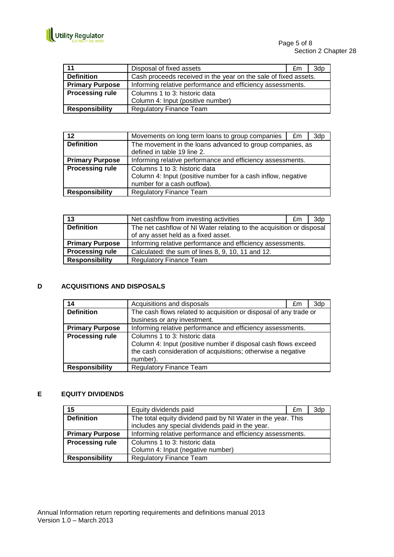

| 11                     | Disposal of fixed assets                                        | £m | 3dp |
|------------------------|-----------------------------------------------------------------|----|-----|
| <b>Definition</b>      | Cash proceeds received in the year on the sale of fixed assets. |    |     |
| <b>Primary Purpose</b> | Informing relative performance and efficiency assessments.      |    |     |
| <b>Processing rule</b> | Columns 1 to 3: historic data                                   |    |     |
|                        | Column 4: Input (positive number)                               |    |     |
| <b>Responsibility</b>  | <b>Regulatory Finance Team</b>                                  |    |     |

| $12 \,$                | Movements on long term loans to group companies                                                                              | £m | 3dp |
|------------------------|------------------------------------------------------------------------------------------------------------------------------|----|-----|
| <b>Definition</b>      | The movement in the loans advanced to group companies, as<br>defined in table 19 line 2.                                     |    |     |
| <b>Primary Purpose</b> | Informing relative performance and efficiency assessments.                                                                   |    |     |
| <b>Processing rule</b> | Columns 1 to 3: historic data<br>Column 4: Input (positive number for a cash inflow, negative<br>number for a cash outflow). |    |     |
|                        |                                                                                                                              |    |     |
| <b>Responsibility</b>  | <b>Regulatory Finance Team</b>                                                                                               |    |     |

| 13                     | Net cashflow from investing activities                               | £m | 3d <sub>p</sub> |
|------------------------|----------------------------------------------------------------------|----|-----------------|
| <b>Definition</b>      | The net cashflow of NI Water relating to the acquisition or disposal |    |                 |
|                        | of any asset held as a fixed asset.                                  |    |                 |
| <b>Primary Purpose</b> | Informing relative performance and efficiency assessments.           |    |                 |
| <b>Processing rule</b> | Calculated: the sum of lines 8, 9, 10, 11 and 12.                    |    |                 |
| <b>Responsibility</b>  | <b>Regulatory Finance Team</b>                                       |    |                 |

#### **D ACQUISITIONS AND DISPOSALS**

| 14                     | Acquisitions and disposals                                                                                                                                                  | £m | 3dp |
|------------------------|-----------------------------------------------------------------------------------------------------------------------------------------------------------------------------|----|-----|
| <b>Definition</b>      | The cash flows related to acquisition or disposal of any trade or                                                                                                           |    |     |
|                        | business or any investment.                                                                                                                                                 |    |     |
| <b>Primary Purpose</b> | Informing relative performance and efficiency assessments.                                                                                                                  |    |     |
| <b>Processing rule</b> | Columns 1 to 3: historic data<br>Column 4: Input (positive number if disposal cash flows exceed<br>the cash consideration of acquisitions; otherwise a negative<br>number). |    |     |
| <b>Responsibility</b>  | <b>Regulatory Finance Team</b>                                                                                                                                              |    |     |

#### **E EQUITY DIVIDENDS**

| 15                     | Equity dividends paid                                        | £m | 3dp |
|------------------------|--------------------------------------------------------------|----|-----|
| <b>Definition</b>      | The total equity dividend paid by NI Water in the year. This |    |     |
|                        | includes any special dividends paid in the year.             |    |     |
| <b>Primary Purpose</b> | Informing relative performance and efficiency assessments.   |    |     |
| <b>Processing rule</b> | Columns 1 to 3: historic data                                |    |     |
|                        | Column 4: Input (negative number)                            |    |     |
| <b>Responsibility</b>  | <b>Regulatory Finance Team</b>                               |    |     |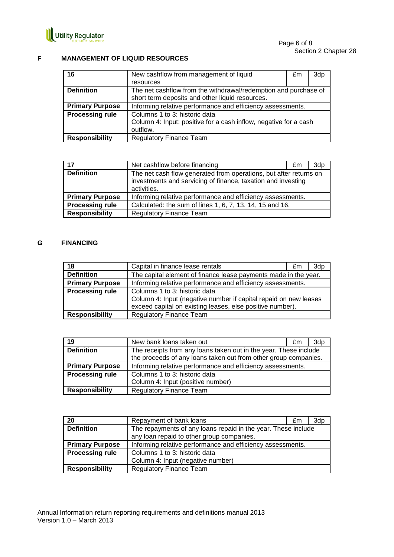

#### **F MANAGEMENT OF LIQUID RESOURCES**

| 16                     | New cashflow from management of liquid                           | £m | 3dp |
|------------------------|------------------------------------------------------------------|----|-----|
|                        | resources                                                        |    |     |
| <b>Definition</b>      | The net cashflow from the withdrawal/redemption and purchase of  |    |     |
|                        | short term deposits and other liquid resources.                  |    |     |
| <b>Primary Purpose</b> | Informing relative performance and efficiency assessments.       |    |     |
| <b>Processing rule</b> | Columns 1 to 3: historic data                                    |    |     |
|                        | Column 4: Input: positive for a cash inflow, negative for a cash |    |     |
|                        | outflow.                                                         |    |     |
| <b>Responsibility</b>  | <b>Regulatory Finance Team</b>                                   |    |     |

| $-17$                  | Net cashflow before financing                                                                                                                    | £m. | 3d <sub>p</sub> |
|------------------------|--------------------------------------------------------------------------------------------------------------------------------------------------|-----|-----------------|
| <b>Definition</b>      | The net cash flow generated from operations, but after returns on<br>investments and servicing of finance, taxation and investing<br>activities. |     |                 |
| <b>Primary Purpose</b> | Informing relative performance and efficiency assessments.                                                                                       |     |                 |
| <b>Processing rule</b> | Calculated: the sum of lines 1, 6, 7, 13, 14, 15 and 16.                                                                                         |     |                 |
| <b>Responsibility</b>  | Regulatory Finance Team                                                                                                                          |     |                 |

#### **G FINANCING**

| 18                     | Capital in finance lease rentals                                                                                                                               | £m | 3dp |
|------------------------|----------------------------------------------------------------------------------------------------------------------------------------------------------------|----|-----|
| <b>Definition</b>      | The capital element of finance lease payments made in the year.                                                                                                |    |     |
| <b>Primary Purpose</b> | Informing relative performance and efficiency assessments.                                                                                                     |    |     |
| <b>Processing rule</b> | Columns 1 to 3: historic data<br>Column 4: Input (negative number if capital repaid on new leases<br>exceed capital on existing leases, else positive number). |    |     |
| <b>Responsibility</b>  | <b>Regulatory Finance Team</b>                                                                                                                                 |    |     |

| 19                     | New bank loans taken out                                                                                                            | £m | 3d <sub>p</sub> |
|------------------------|-------------------------------------------------------------------------------------------------------------------------------------|----|-----------------|
| <b>Definition</b>      | The receipts from any loans taken out in the year. These include<br>the proceeds of any loans taken out from other group companies. |    |                 |
| <b>Primary Purpose</b> | Informing relative performance and efficiency assessments.                                                                          |    |                 |
| <b>Processing rule</b> | Columns 1 to 3: historic data                                                                                                       |    |                 |
|                        | Column 4: Input (positive number)                                                                                                   |    |                 |
| <b>Responsibility</b>  | <b>Regulatory Finance Team</b>                                                                                                      |    |                 |

| 20                     | Repayment of bank loans                                       | £m | 3dp |
|------------------------|---------------------------------------------------------------|----|-----|
| <b>Definition</b>      | The repayments of any loans repaid in the year. These include |    |     |
|                        | any loan repaid to other group companies.                     |    |     |
| <b>Primary Purpose</b> | Informing relative performance and efficiency assessments.    |    |     |
| <b>Processing rule</b> | Columns 1 to 3: historic data                                 |    |     |
|                        | Column 4: Input (negative number)                             |    |     |
| <b>Responsibility</b>  | <b>Regulatory Finance Team</b>                                |    |     |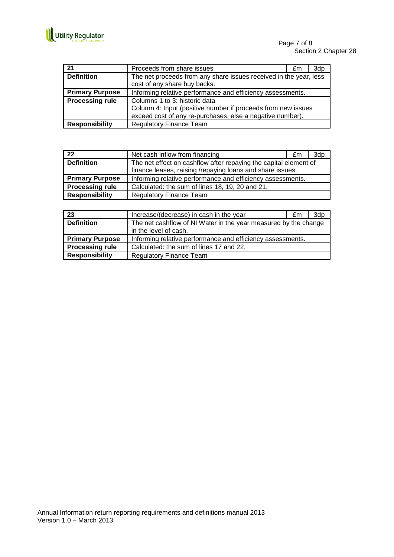

| 21                     | Proceeds from share issues                                        | £m | 3dp |
|------------------------|-------------------------------------------------------------------|----|-----|
| <b>Definition</b>      | The net proceeds from any share issues received in the year, less |    |     |
|                        | cost of any share buy backs.                                      |    |     |
| <b>Primary Purpose</b> | Informing relative performance and efficiency assessments.        |    |     |
| <b>Processing rule</b> | Columns 1 to 3: historic data                                     |    |     |
|                        | Column 4: Input (positive number if proceeds from new issues      |    |     |
|                        | exceed cost of any re-purchases, else a negative number).         |    |     |
| <b>Responsibility</b>  | <b>Regulatory Finance Team</b>                                    |    |     |

| 22                     | Net cash inflow from financing                                   | £m | 3dp |
|------------------------|------------------------------------------------------------------|----|-----|
| <b>Definition</b>      | The net effect on cashflow after repaying the capital element of |    |     |
|                        | finance leases, raising /repaying loans and share issues.        |    |     |
| <b>Primary Purpose</b> | Informing relative performance and efficiency assessments.       |    |     |
| <b>Processing rule</b> | Calculated: the sum of lines 18, 19, 20 and 21.                  |    |     |
| <b>Responsibility</b>  | <b>Regulatory Finance Team</b>                                   |    |     |

| 23                     | Increase/(decrease) in cash in the year                         | £m | 3dp |
|------------------------|-----------------------------------------------------------------|----|-----|
| <b>Definition</b>      | The net cashflow of NI Water in the year measured by the change |    |     |
|                        | in the level of cash.                                           |    |     |
| <b>Primary Purpose</b> | Informing relative performance and efficiency assessments.      |    |     |
| <b>Processing rule</b> | Calculated: the sum of lines 17 and 22.                         |    |     |
| <b>Responsibility</b>  | <b>Regulatory Finance Team</b>                                  |    |     |